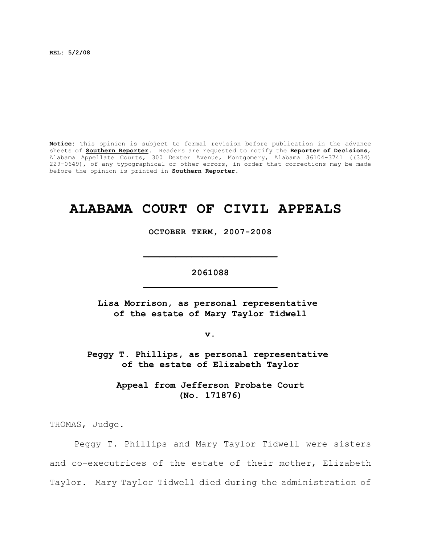**REL: 5/2/08**

**Notice:** This opinion is subject to formal revision before publication in the advance sheets of **Southern Reporter**. Readers are requested to notify the **Reporter of Decisions**, Alabama Appellate Courts, 300 Dexter Avenue, Montgomery, Alabama 36104-3741 ((334) 229-0649), of any typographical or other errors, in order that corrections may be made before the opinion is printed in **Southern Reporter**.

## **ALABAMA COURT OF CIVIL APPEALS**

**OCTOBER TERM, 2007-2008**

**\_\_\_\_\_\_\_\_\_\_\_\_\_\_\_\_\_\_\_\_\_\_\_\_\_**

**2061088 \_\_\_\_\_\_\_\_\_\_\_\_\_\_\_\_\_\_\_\_\_\_\_\_\_**

**Lisa Morrison, as personal representative of the estate of Mary Taylor Tidwell**

**v.**

**Peggy T. Phillips, as personal representative of the estate of Elizabeth Taylor**

> **Appeal from Jefferson Probate Court (No. 171876)**

THOMAS, Judge.

Peggy T. Phillips and Mary Taylor Tidwell were sisters and co-executrices of the estate of their mother, Elizabeth Taylor. Mary Taylor Tidwell died during the administration of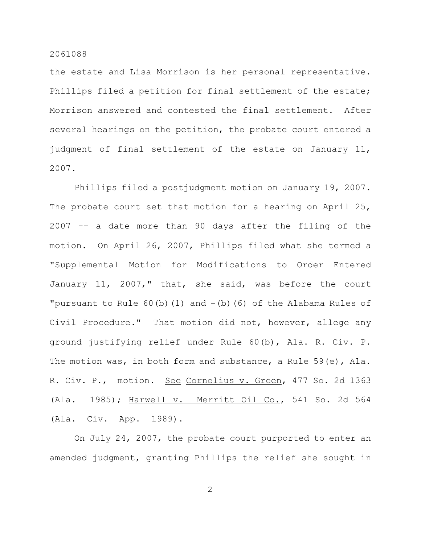the estate and Lisa Morrison is her personal representative. Phillips filed a petition for final settlement of the estate; Morrison answered and contested the final settlement. After several hearings on the petition, the probate court entered a judgment of final settlement of the estate on January 11, 2007.

Phillips filed a postjudgment motion on January 19, 2007. The probate court set that motion for a hearing on April 25, 2007 -- a date more than 90 days after the filing of the motion. On April 26, 2007, Phillips filed what she termed a "Supplemental Motion for Modifications to Order Entered January 11, 2007," that, she said, was before the court "pursuant to Rule  $60(b)(1)$  and  $-(b)(6)$  of the Alabama Rules of Civil Procedure." That motion did not, however, allege any ground justifying relief under Rule 60(b), Ala. R. Civ. P. The motion was, in both form and substance, a Rule 59(e), Ala. R. Civ. P., motion. See Cornelius v. Green, 477 So. 2d 1363 (Ala. 1985); Harwell v. Merritt Oil Co., 541 So. 2d 564 (Ala. Civ. App. 1989).

On July 24, 2007, the probate court purported to enter an amended judgment, granting Phillips the relief she sought in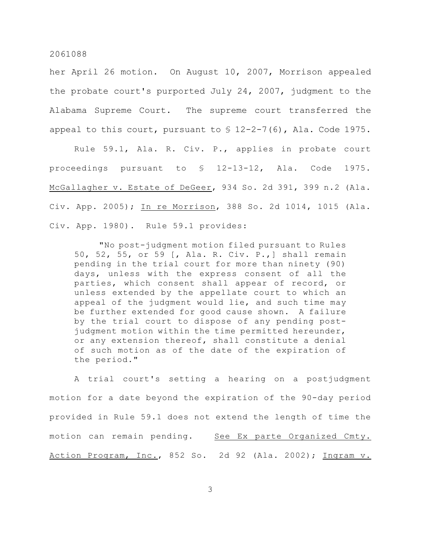her April 26 motion. On August 10, 2007, Morrison appealed the probate court's purported July 24, 2007, judgment to the Alabama Supreme Court. The supreme court transferred the appeal to this court, pursuant to  $$ 12-2-7(6)$ , Ala. Code 1975.

Rule 59.1, Ala. R. Civ. P., applies in probate court proceedings pursuant to § 12-13-12, Ala. Code 1975. McGallagher v. Estate of DeGeer, 934 So. 2d 391, 399 n.2 (Ala. Civ. App. 2005); In re Morrison, 388 So. 2d 1014, 1015 (Ala. Civ. App. 1980). Rule 59.1 provides:

"No post-judgment motion filed pursuant to Rules 50, 52, 55, or 59 [, Ala. R. Civ. P.,] shall remain pending in the trial court for more than ninety (90) days, unless with the express consent of all the parties, which consent shall appear of record, or unless extended by the appellate court to which an appeal of the judgment would lie, and such time may be further extended for good cause shown. A failure by the trial court to dispose of any pending postjudgment motion within the time permitted hereunder, or any extension thereof, shall constitute a denial of such motion as of the date of the expiration of the period."

A trial court's setting a hearing on a postjudgment motion for a date beyond the expiration of the 90-day period provided in Rule 59.1 does not extend the length of time the motion can remain pending. See Ex parte Organized Cmty. Action Program, Inc., 852 So. 2d 92 (Ala. 2002); Ingram v.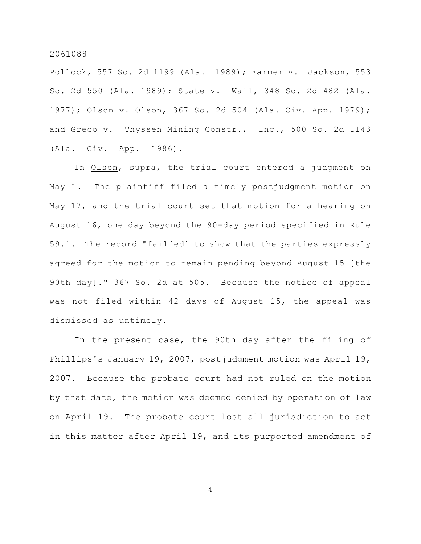Pollock, 557 So. 2d 1199 (Ala. 1989); Farmer v. Jackson, 553 So. 2d 550 (Ala. 1989); State v. Wall, 348 So. 2d 482 (Ala. 1977); Olson v. Olson, 367 So. 2d 504 (Ala. Civ. App. 1979); and Greco v. Thyssen Mining Constr., Inc., 500 So. 2d 1143 (Ala. Civ. App. 1986).

In Olson, supra, the trial court entered a judgment on May 1. The plaintiff filed a timely postjudgment motion on May 17, and the trial court set that motion for a hearing on August 16, one day beyond the 90-day period specified in Rule 59.1. The record "fail[ed] to show that the parties expressly agreed for the motion to remain pending beyond August 15 [the 90th day]." 367 So. 2d at 505. Because the notice of appeal was not filed within 42 days of August 15, the appeal was dismissed as untimely.

In the present case, the 90th day after the filing of Phillips's January 19, 2007, postjudgment motion was April 19, 2007. Because the probate court had not ruled on the motion by that date, the motion was deemed denied by operation of law on April 19. The probate court lost all jurisdiction to act in this matter after April 19, and its purported amendment of